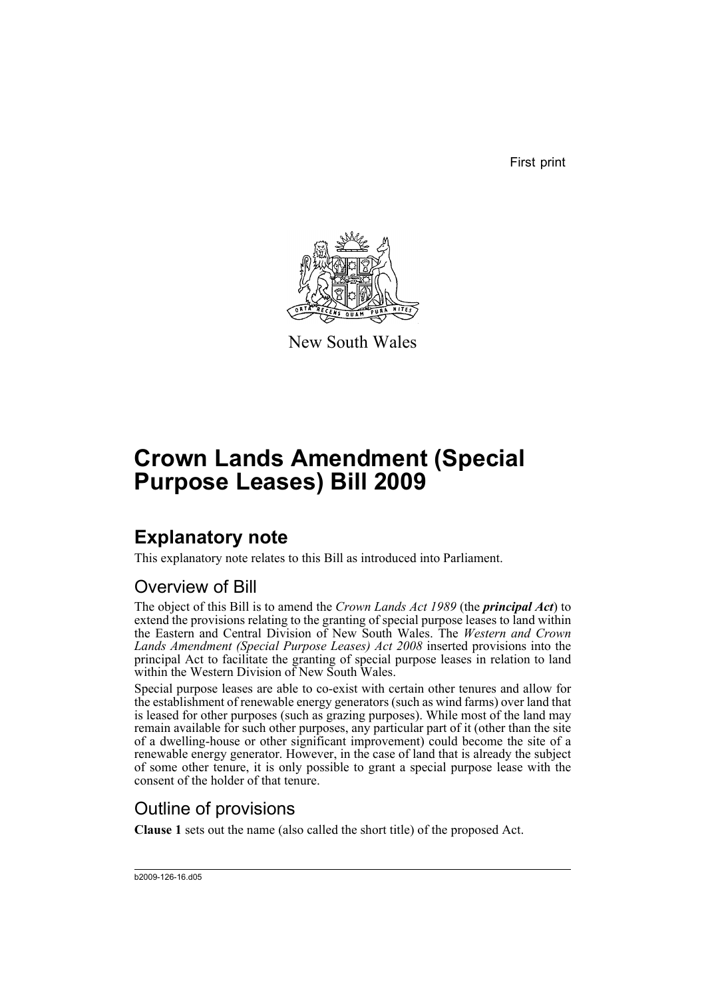First print



New South Wales

# **Crown Lands Amendment (Special Purpose Leases) Bill 2009**

## **Explanatory note**

This explanatory note relates to this Bill as introduced into Parliament.

#### Overview of Bill

The object of this Bill is to amend the *Crown Lands Act 1989* (the *principal Act*) to extend the provisions relating to the granting of special purpose leases to land within the Eastern and Central Division of New South Wales. The *Western and Crown Lands Amendment (Special Purpose Leases) Act 2008* inserted provisions into the principal Act to facilitate the granting of special purpose leases in relation to land within the Western Division of New South Wales.

Special purpose leases are able to co-exist with certain other tenures and allow for the establishment of renewable energy generators (such as wind farms) over land that is leased for other purposes (such as grazing purposes). While most of the land may remain available for such other purposes, any particular part of it (other than the site of a dwelling-house or other significant improvement) could become the site of a renewable energy generator. However, in the case of land that is already the subject of some other tenure, it is only possible to grant a special purpose lease with the consent of the holder of that tenure.

#### Outline of provisions

**Clause 1** sets out the name (also called the short title) of the proposed Act.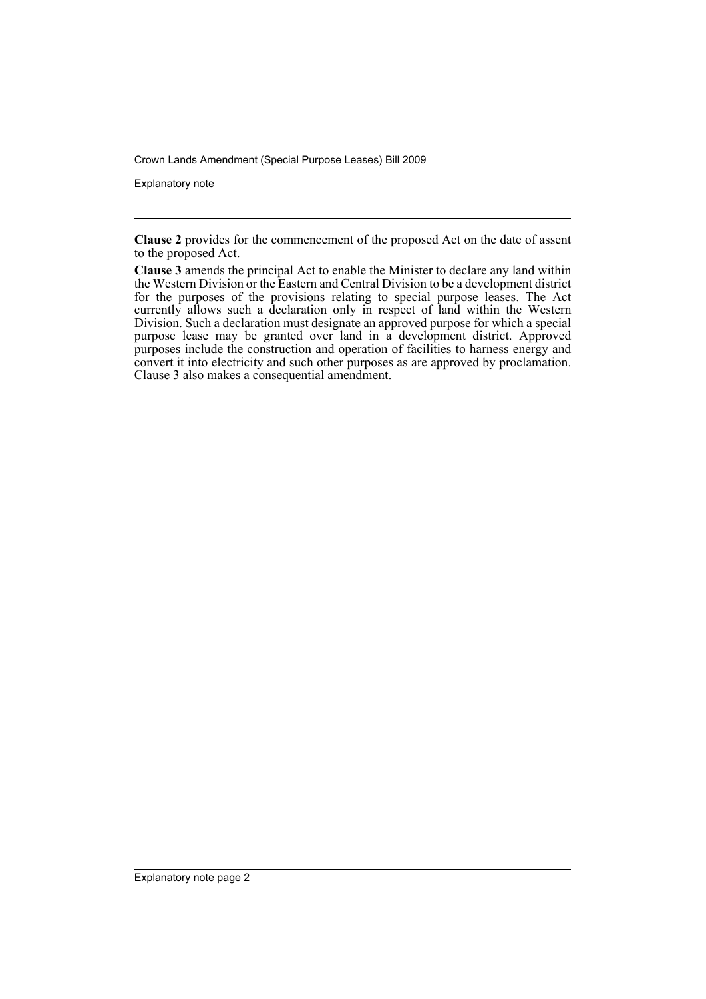Crown Lands Amendment (Special Purpose Leases) Bill 2009

Explanatory note

**Clause 2** provides for the commencement of the proposed Act on the date of assent to the proposed Act.

**Clause 3** amends the principal Act to enable the Minister to declare any land within the Western Division or the Eastern and Central Division to be a development district for the purposes of the provisions relating to special purpose leases. The Act currently allows such a declaration only in respect of land within the Western Division. Such a declaration must designate an approved purpose for which a special purpose lease may be granted over land in a development district. Approved purposes include the construction and operation of facilities to harness energy and convert it into electricity and such other purposes as are approved by proclamation. Clause 3 also makes a consequential amendment.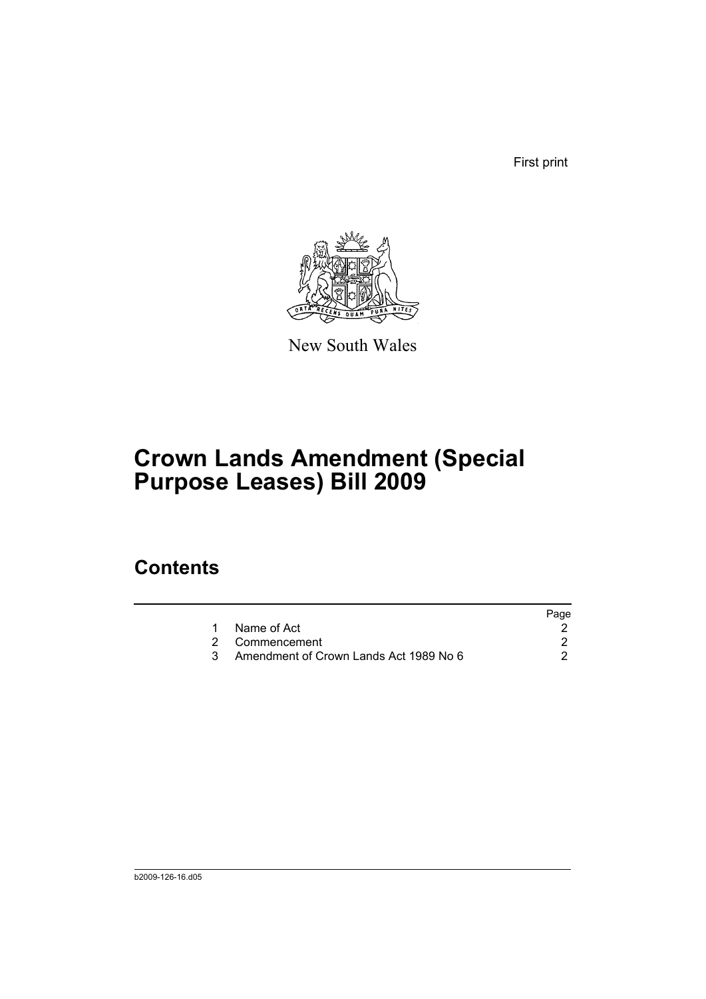First print



New South Wales

## **Crown Lands Amendment (Special Purpose Leases) Bill 2009**

### **Contents**

|                                        | Page |
|----------------------------------------|------|
| Name of Act                            |      |
| 2 Commencement                         |      |
| Amendment of Crown Lands Act 1989 No 6 |      |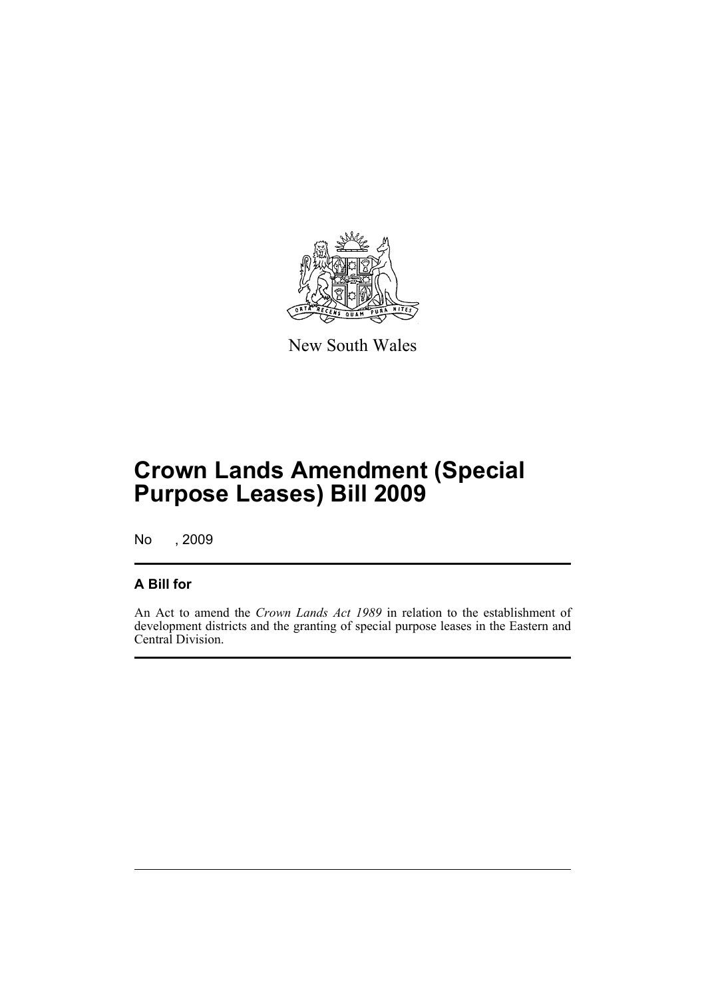

New South Wales

## **Crown Lands Amendment (Special Purpose Leases) Bill 2009**

No , 2009

#### **A Bill for**

An Act to amend the *Crown Lands Act 1989* in relation to the establishment of development districts and the granting of special purpose leases in the Eastern and Central Division.